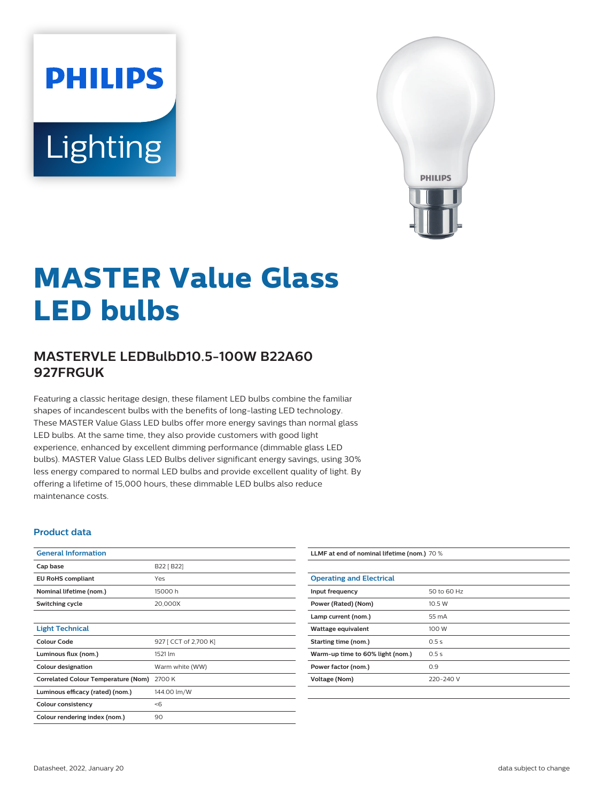# **PHILIPS** Lighting



# **MASTER Value Glass LED bulbs**

# **MASTERVLE LEDBulbD10.5-100W B22A60 927FRGUK**

Featuring a classic heritage design, these filament LED bulbs combine the familiar shapes of incandescent bulbs with the benefits of long-lasting LED technology. These MASTER Value Glass LED bulbs offer more energy savings than normal glass LED bulbs. At the same time, they also provide customers with good light experience, enhanced by excellent dimming performance (dimmable glass LED bulbs). MASTER Value Glass LED Bulbs deliver significant energy savings, using 30% less energy compared to normal LED bulbs and provide excellent quality of light. By offering a lifetime of 15,000 hours, these dimmable LED bulbs also reduce maintenance costs.

#### **Product data**

| <b>General Information</b>                 |                       |
|--------------------------------------------|-----------------------|
| Cap base                                   | B22 [ B22]            |
| <b>EU RoHS compliant</b>                   | Yes                   |
| Nominal lifetime (nom.)                    | 15000h                |
| Switching cycle                            | 20,000X               |
|                                            |                       |
| <b>Light Technical</b>                     |                       |
| Colour Code                                | 927 [ CCT of 2,700 K] |
| Luminous flux (nom.)                       | 1521 lm               |
| Colour designation                         | Warm white (WW)       |
| <b>Correlated Colour Temperature (Nom)</b> | 2700 K                |
| Luminous efficacy (rated) (nom.)           | 144.00 lm/W           |
| <b>Colour consistency</b>                  | < 6                   |
| Colour rendering index (nom.)              | 90                    |

**LLMF at end of nominal lifetime (nom.)** 70 %

| <b>Operating and Electrical</b>  |             |
|----------------------------------|-------------|
| Input frequency                  | 50 to 60 Hz |
| Power (Rated) (Nom)              | 10.5W       |
| Lamp current (nom.)              | 55 mA       |
| Wattage equivalent               | 100 W       |
| Starting time (nom.)             | 0.5s        |
| Warm-up time to 60% light (nom.) | 0.5s        |
| Power factor (nom.)              | 0.9         |
| Voltage (Nom)                    | 220-240 V   |
|                                  |             |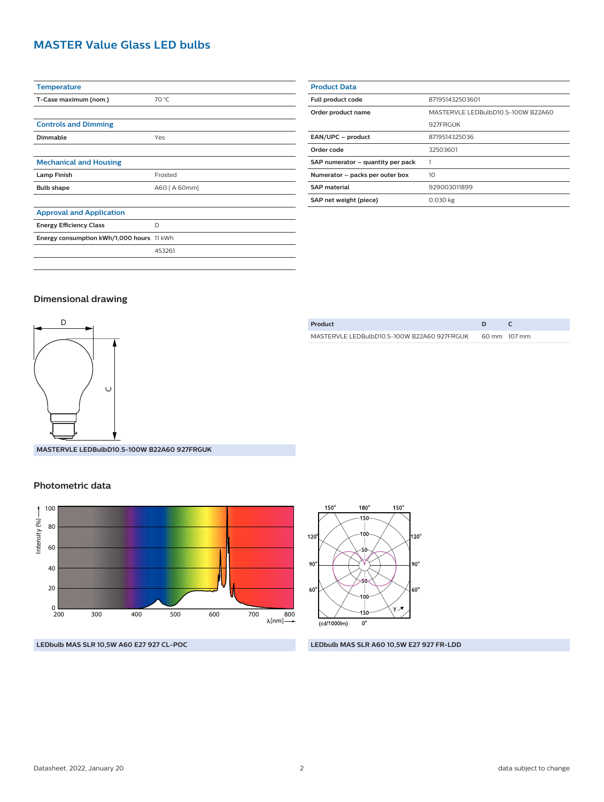# **MASTER Value Glass LED bulbs**

| <b>Temperature</b>                        |               |
|-------------------------------------------|---------------|
| T-Case maximum (nom.)                     | 70 °C         |
|                                           |               |
| <b>Controls and Dimming</b>               |               |
| Dimmable                                  | Yes           |
|                                           |               |
| <b>Mechanical and Housing</b>             |               |
| <b>Lamp Finish</b>                        | Frosted       |
| <b>Bulb shape</b>                         | A60 [ A 60mm] |
|                                           |               |
| <b>Approval and Application</b>           |               |
| <b>Energy Efficiency Class</b>            | D             |
| Energy consumption kWh/1,000 hours 11 kWh |               |
|                                           | 453261        |
|                                           |               |

| <b>Product Data</b>               |                                    |  |
|-----------------------------------|------------------------------------|--|
| Full product code                 | 871951432503601                    |  |
| Order product name                | MASTERVLE LEDBulbD10.5-100W B22A60 |  |
|                                   | 927FRGUK                           |  |
| EAN/UPC - product                 | 8719514325036                      |  |
| Order code                        | 32503601                           |  |
| SAP numerator - quantity per pack |                                    |  |
| Numerator - packs per outer box   | 10                                 |  |
| <b>SAP material</b>               | 929003011899                       |  |
| SAP net weight (piece)            | 0.030 kg                           |  |

#### **Dimensional drawing**



**MASTERVLE LEDBulbD10.5-100W B22A60 927FRGUK**

#### **Photometric data**



**LEDbulb MAS SLR 10,5W A60 E27 927 CL-POC LEDbulb MAS SLR A60 10,5W E27 927 FR-LDD**

| Product                                     |              |
|---------------------------------------------|--------------|
| MASTERVLE LEDBulbD10.5-100W B22A60 927FRGUK | 60 mm 107 mm |